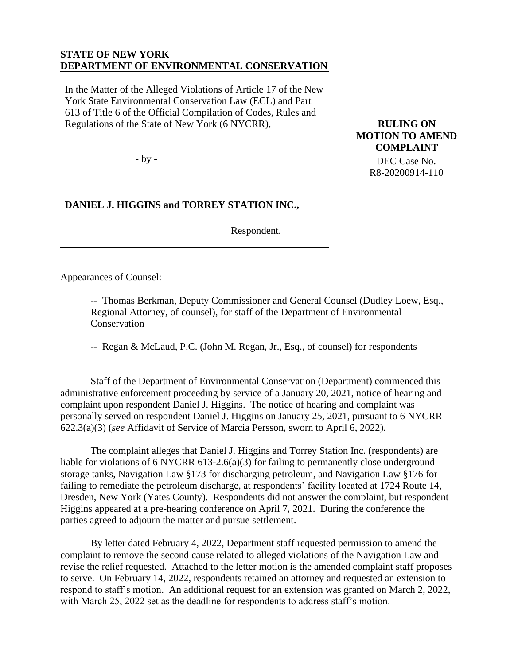## **STATE OF NEW YORK DEPARTMENT OF ENVIRONMENTAL CONSERVATION**

In the Matter of the Alleged Violations of Article 17 of the New York State Environmental Conservation Law (ECL) and Part 613 of Title 6 of the Official Compilation of Codes, Rules and Regulations of the State of New York (6 NYCRR),

- by -

## **DANIEL J. HIGGINS and TORREY STATION INC.,**

Respondent.

**RULING ON MOTION TO AMEND COMPLAINT** DEC Case No. R8-20200914-110

Appearances of Counsel:

-- Thomas Berkman, Deputy Commissioner and General Counsel (Dudley Loew, Esq., Regional Attorney, of counsel), for staff of the Department of Environmental Conservation

-- Regan & McLaud, P.C. (John M. Regan, Jr., Esq., of counsel) for respondents

Staff of the Department of Environmental Conservation (Department) commenced this administrative enforcement proceeding by service of a January 20, 2021, notice of hearing and complaint upon respondent Daniel J. Higgins. The notice of hearing and complaint was personally served on respondent Daniel J. Higgins on January 25, 2021, pursuant to 6 NYCRR 622.3(a)(3) (*see* Affidavit of Service of Marcia Persson, sworn to April 6, 2022).

The complaint alleges that Daniel J. Higgins and Torrey Station Inc. (respondents) are liable for violations of 6 NYCRR 613-2.6(a)(3) for failing to permanently close underground storage tanks, Navigation Law §173 for discharging petroleum, and Navigation Law §176 for failing to remediate the petroleum discharge, at respondents' facility located at 1724 Route 14, Dresden, New York (Yates County). Respondents did not answer the complaint, but respondent Higgins appeared at a pre-hearing conference on April 7, 2021. During the conference the parties agreed to adjourn the matter and pursue settlement.

By letter dated February 4, 2022, Department staff requested permission to amend the complaint to remove the second cause related to alleged violations of the Navigation Law and revise the relief requested. Attached to the letter motion is the amended complaint staff proposes to serve. On February 14, 2022, respondents retained an attorney and requested an extension to respond to staff's motion. An additional request for an extension was granted on March 2, 2022, with March 25, 2022 set as the deadline for respondents to address staff's motion.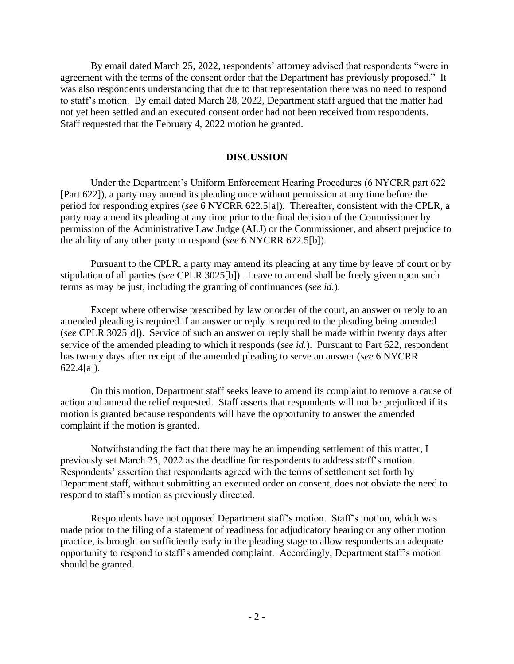By email dated March 25, 2022, respondents' attorney advised that respondents "were in agreement with the terms of the consent order that the Department has previously proposed." It was also respondents understanding that due to that representation there was no need to respond to staff's motion. By email dated March 28, 2022, Department staff argued that the matter had not yet been settled and an executed consent order had not been received from respondents. Staff requested that the February 4, 2022 motion be granted.

## **DISCUSSION**

Under the Department's Uniform Enforcement Hearing Procedures (6 NYCRR part 622 [Part 622]), a party may amend its pleading once without permission at any time before the period for responding expires (*see* 6 NYCRR 622.5[a]). Thereafter, consistent with the CPLR, a party may amend its pleading at any time prior to the final decision of the Commissioner by permission of the Administrative Law Judge (ALJ) or the Commissioner, and absent prejudice to the ability of any other party to respond (*see* 6 NYCRR 622.5[b]).

Pursuant to the CPLR, a party may amend its pleading at any time by leave of court or by stipulation of all parties (*see* CPLR 3025[b]). Leave to amend shall be freely given upon such terms as may be just, including the granting of continuances (*see id.*).

Except where otherwise prescribed by law or order of the court, an answer or reply to an amended pleading is required if an answer or reply is required to the pleading being amended (*see* CPLR 3025[d]). Service of such an answer or reply shall be made within twenty days after service of the amended pleading to which it responds (*see id.*). Pursuant to Part 622, respondent has twenty days after receipt of the amended pleading to serve an answer (*see* 6 NYCRR 622.4[a]).

On this motion, Department staff seeks leave to amend its complaint to remove a cause of action and amend the relief requested. Staff asserts that respondents will not be prejudiced if its motion is granted because respondents will have the opportunity to answer the amended complaint if the motion is granted.

Notwithstanding the fact that there may be an impending settlement of this matter, I previously set March 25, 2022 as the deadline for respondents to address staff's motion. Respondents' assertion that respondents agreed with the terms of settlement set forth by Department staff, without submitting an executed order on consent, does not obviate the need to respond to staff's motion as previously directed.

Respondents have not opposed Department staff's motion. Staff's motion, which was made prior to the filing of a statement of readiness for adjudicatory hearing or any other motion practice, is brought on sufficiently early in the pleading stage to allow respondents an adequate opportunity to respond to staff's amended complaint. Accordingly, Department staff's motion should be granted.